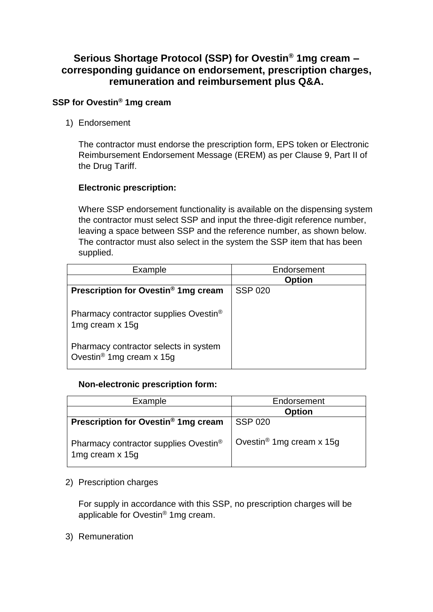## **Serious Shortage Protocol (SSP) for Ovestin® 1mg cream – corresponding guidance on endorsement, prescription charges, remuneration and reimbursement plus Q&A.**

#### **SSP for Ovestin® 1mg cream**

1) Endorsement

The contractor must endorse the prescription form, EPS token or Electronic Reimbursement Endorsement Message (EREM) as per Clause 9, Part II of the Drug Tariff.

#### **Electronic prescription:**

Where SSP endorsement functionality is available on the dispensing system the contractor must select SSP and input the three-digit reference number, leaving a space between SSP and the reference number, as shown below. The contractor must also select in the system the SSP item that has been supplied.

| Example                                                                                                       | Endorsement    |
|---------------------------------------------------------------------------------------------------------------|----------------|
|                                                                                                               | Option         |
| Prescription for Ovestin <sup>®</sup> 1mg cream                                                               | <b>SSP 020</b> |
| Pharmacy contractor supplies Ovestin <sup>®</sup><br>1mg cream x 15g<br>Pharmacy contractor selects in system |                |
| Ovestin <sup>®</sup> 1mg cream x 15g                                                                          |                |

#### **Non-electronic prescription form:**

| Example                                                  | Endorsement                          |
|----------------------------------------------------------|--------------------------------------|
|                                                          | <b>Option</b>                        |
| Prescription for Ovestin <sup>®</sup> 1mg cream          | <b>SSP 020</b>                       |
| Pharmacy contractor supplies Ovestin®<br>1mg cream x 15g | Ovestin <sup>®</sup> 1mg cream x 15g |

2) Prescription charges

For supply in accordance with this SSP, no prescription charges will be applicable for Ovestin® 1mg cream.

3) Remuneration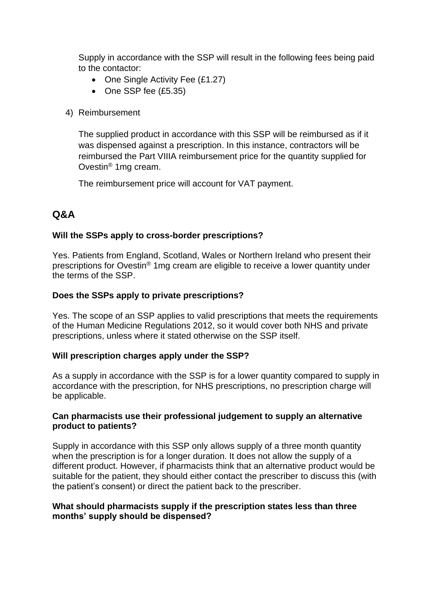Supply in accordance with the SSP will result in the following fees being paid to the contactor:

- One Single Activity Fee (£1.27)
- One SSP fee (£5.35)
- 4) Reimbursement

The supplied product in accordance with this SSP will be reimbursed as if it was dispensed against a prescription. In this instance, contractors will be reimbursed the Part VIIIA reimbursement price for the quantity supplied for Ovestin® 1mg cream.

The reimbursement price will account for VAT payment.

# **Q&A**

## **Will the SSPs apply to cross-border prescriptions?**

Yes. Patients from England, Scotland, Wales or Northern Ireland who present their prescriptions for Ovestin® 1mg cream are eligible to receive a lower quantity under the terms of the SSP.

## **Does the SSPs apply to private prescriptions?**

Yes. The scope of an SSP applies to valid prescriptions that meets the requirements of the Human Medicine Regulations 2012, so it would cover both NHS and private prescriptions, unless where it stated otherwise on the SSP itself.

## **Will prescription charges apply under the SSP?**

As a supply in accordance with the SSP is for a lower quantity compared to supply in accordance with the prescription, for NHS prescriptions, no prescription charge will be applicable.

#### **Can pharmacists use their professional judgement to supply an alternative product to patients?**

Supply in accordance with this SSP only allows supply of a three month quantity when the prescription is for a longer duration. It does not allow the supply of a different product. However, if pharmacists think that an alternative product would be suitable for the patient, they should either contact the prescriber to discuss this (with the patient's consent) or direct the patient back to the prescriber.

#### **What should pharmacists supply if the prescription states less than three months' supply should be dispensed?**